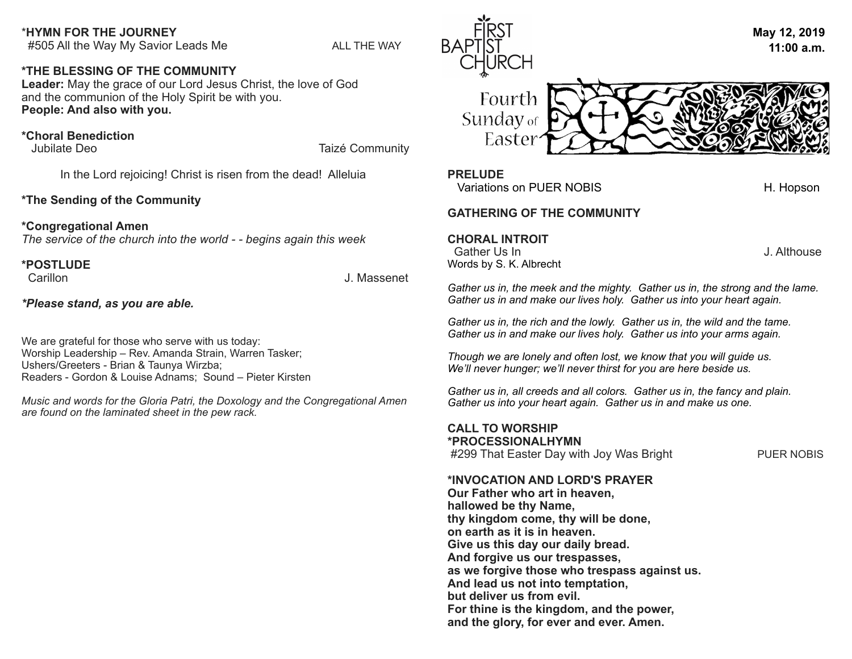#### \***HYMN FOR THE JOURNEY**

#505 All the Way My Savior Leads Me ALL THE WAY

# **\*THE BLESSING OF THE COMMUNITY**

**Leader:** May the grace of our Lord Jesus Christ, the love of God and the communion of the Holy Spirit be with you. **People: And also with you.** 

### **\*Choral Benediction**

Jubilate Deo **Taizé Community** 

In the Lord rejoicing! Christ is risen from the dead! Alleluia

# **\*The Sending of the Community**

#### **\*Congregational Amen**

*The service of the church into the world - - begins again this week*

# **\*POSTLUDE**

J. Massenet

*\*Please stand, as you are able.*

We are grateful for those who serve with us today: Worship Leadership – Rev. Amanda Strain, Warren Tasker; Ushers/Greeters - Brian & Taunya Wirzba; Readers - Gordon & Louise Adnams; Sound – Pieter Kirsten

*Music and words for the Gloria Patri, the Doxology and the Congregational Amen are found on the laminated sheet in the pew rack.* 





#### **PRELUDE**

Variations on PUER NOBIS H. Hopson

#### **GATHERING OF THE COMMUNITY**

**CHORAL INTROIT**

Gather Us In **Gather Use Gather Use Cather Use Gather Use Contract Contract Contract Contract Contract Contract Contract Contract Contract Contract Contract Contract Contract Contract Contract Contract Contract Con** Words by S. K. Albrecht

*Gather us in, the meek and the mighty. Gather us in, the strong and the lame. Gather us in and make our lives holy. Gather us into your heart again.* 

*Gather us in, the rich and the lowly. Gather us in, the wild and the tame. Gather us in and make our lives holy. Gather us into your arms again.* 

*Though we are lonely and often lost, we know that you will guide us. We'll never hunger; we'll never thirst for you are here beside us.* 

*Gather us in, all creeds and all colors. Gather us in, the fancy and plain. Gather us into your heart again. Gather us in and make us one.* 

**CALL TO WORSHIP \*PROCESSIONALHYMN** #299 That Easter Day with Joy Was Bright PUER NOBIS

# **\*INVOCATION AND LORD'S PRAYER**

**Our Father who art in heaven, hallowed be thy Name, thy kingdom come, thy will be done, on earth as it is in heaven. Give us this day our daily bread. And forgive us our trespasses, as we forgive those who trespass against us. And lead us not into temptation, but deliver us from evil. For thine is the kingdom, and the power, and the glory, for ever and ever. Amen.**